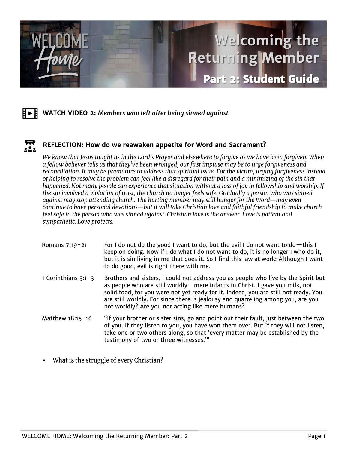



## $\mathbf{E}$ **REFLECTION: How do we reawaken appetite for Word and Sacrament?**

We know that Jesus taught us in the Lord's Prayer and elsewhere to forgive as we have been forgiven. When a fellow believer tells us that they've been wronged, our first impulse may be to urge forgiveness and reconciliation. It may be premature to address that spiritual issue. For the victim, urging forgiveness instead of helping to resolve the problem can feel like a disregard for their pain and a minimizing of the sin that happened. Not many people can experience that situation without a loss of joy in fellowship and worship. If the sin involved a violation of trust, the church no longer feels safe. Gradually a person who was sinned against may stop attending church. The hurting member may still hunger for the Word—may even continue to have personal devotions—but it will take Christian love and faithful friendship to make church feel safe to the person who was sinned against. Christian love is the answer. Love is patient and sympathetic. Love protects.

| Romans 7:19-21        | For I do not do the good I want to do, but the evil I do not want to do $-$ this I<br>keep on doing. Now if I do what I do not want to do, it is no longer I who do it,<br>but it is sin living in me that does it. So I find this law at work: Although I want<br>to do good, evil is right there with me.                                                                                          |
|-----------------------|------------------------------------------------------------------------------------------------------------------------------------------------------------------------------------------------------------------------------------------------------------------------------------------------------------------------------------------------------------------------------------------------------|
| 1 Corinthians $3:1-3$ | Brothers and sisters, I could not address you as people who live by the Spirit but<br>as people who are still worldly - mere infants in Christ. I gave you milk, not<br>solid food, for you were not yet ready for it. Indeed, you are still not ready. You<br>are still worldly. For since there is jealousy and quarreling among you, are you<br>not worldly? Are you not acting like mere humans? |
| Matthew 18:15-16      | "If your brother or sister sins, go and point out their fault, just between the two<br>of you. If they listen to you, you have won them over. But if they will not listen,<br>take one or two others along, so that 'every matter may be established by the<br>testimony of two or three witnesses.""                                                                                                |

What is the struggle of every Christian? •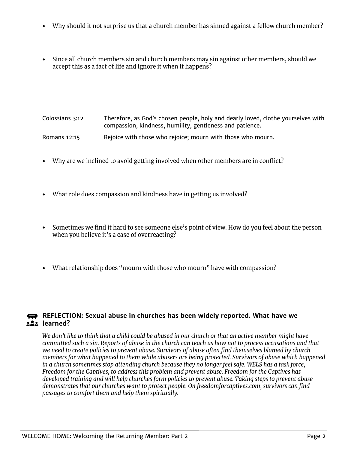- Why should it not surprise us that a church member has sinned against a fellow church member? •
- Since all church members sin and church members may sin against other members, should we • accept this as a fact of life and ignore it when it happens?

Colossians 3:12 Therefore, as God's chosen people, holy and dearly loved, clothe yourselves with compassion, kindness, humility, gentleness and patience. Romans 12:15 Rejoice with those who rejoice; mourn with those who mourn.

- 
- Why are we inclined to avoid getting involved when other members are in conflict?
- What role does compassion and kindness have in getting us involved?
- Sometimes we find it hard to see someone else's point of view. How do you feel about the person • when you believe it's a case of overreacting?
- What relationship does "mourn with those who mourn" have with compassion?

## **REFLECTION:** Sexual abuse in churches has been widely reported. What have we **learned?**

We don't like to think that a child could be abused in our church or that an active member might have committed such a sin. Reports of abuse in the church can teach us how not to process accusations and that we need to create policies to prevent abuse. Survivors of abuse often find themselves blamed by church members for what happened to them while abusers are being protected. Survivors of abuse which happened in a church sometimes stop attending church because they no longer feel safe. WELS has a task force, Freedom for the Captives, to address this problem and prevent abuse. Freedom for the Captives has developed training and will help churches form policies to prevent abuse. Taking steps to prevent abuse demonstrates that our churches want to protect people. On freedomforcaptives.com, survivors can find passages to comfort them and help them spiritually.